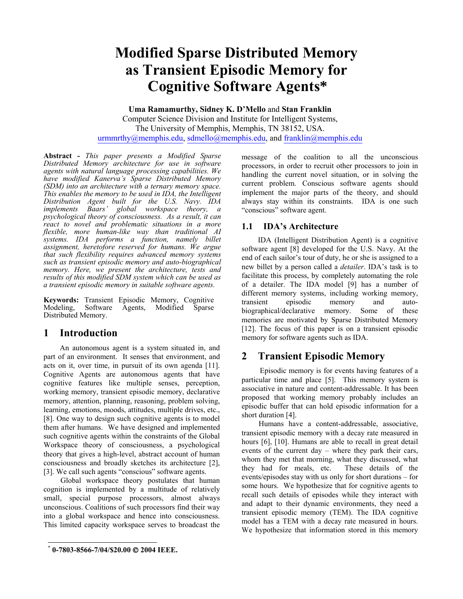# **Modified Sparse Distributed Memory as Transient Episodic Memory for Cognitive Software Agents\***

**Uma Ramamurthy, Sidney K. D'Mello** and **Stan Franklin**  Computer Science Division and Institute for Intelligent Systems, The University of Memphis, Memphis, TN 38152, USA. urmmrthy@memphis.edu, sdmello@memphis.edu, and franklin@memphis.edu

**Abstract -** *This paper presents a Modified Sparse Distributed Memory architecture for use in software agents with natural language processing capabilities. We have modified Kanerva's Sparse Distributed Memory (SDM) into an architecture with a ternary memory space. This enables the memory to be used in IDA, the Intelligent Distribution Agent built for the U.S. Navy. IDA implements Baars' global workspace theory, a psychological theory of consciousness. As a result, it can react to novel and problematic situations in a more flexible, more human-like way than traditional AI systems. IDA performs a function, namely billet assignment, heretofore reserved for humans. We argue that such flexibility requires advanced memory systems such as transient episodic memory and auto-biographical memory. Here, we present the architecture, tests and results of this modified SDM system which can be used as a transient episodic memory in suitable software agents.* 

**Keywords:** Transient Episodic Memory, Cognitive Modeling, Software Agents, Modified Sparse Distributed Memory.

# **1 Introduction**

 An autonomous agent is a system situated in, and part of an environment. It senses that environment, and acts on it, over time, in pursuit of its own agenda [11]. Cognitive Agents are autonomous agents that have cognitive features like multiple senses, perception, working memory, transient episodic memory, declarative memory, attention, planning, reasoning, problem solving, learning, emotions, moods, attitudes, multiple drives, etc., [8]. One way to design such cognitive agents is to model them after humans. We have designed and implemented such cognitive agents within the constraints of the Global Workspace theory of consciousness, a psychological theory that gives a high-level, abstract account of human consciousness and broadly sketches its architecture [2], [3]. We call such agents "conscious" software agents.

Global workspace theory postulates that human cognition is implemented by a multitude of relatively small, special purpose processors, almost always unconscious. Coalitions of such processors find their way into a global workspace and hence into consciousness. This limited capacity workspace serves to broadcast the

L

message of the coalition to all the unconscious processors, in order to recruit other processors to join in handling the current novel situation, or in solving the current problem. Conscious software agents should implement the major parts of the theory, and should always stay within its constraints. IDA is one such "conscious" software agent.

### **1.1 IDA's Architecture**

 IDA (Intelligent Distribution Agent) is a cognitive software agent [8] developed for the U.S. Navy. At the end of each sailor's tour of duty, he or she is assigned to a new billet by a person called a *detailer*. IDA's task is to facilitate this process, by completely automating the role of a detailer. The IDA model [9] has a number of different memory systems, including working memory, transient episodic memory and autobiographical/declarative memory. Some of these memories are motivated by Sparse Distributed Memory [12]. The focus of this paper is on a transient episodic memory for software agents such as IDA.

# **2 Transient Episodic Memory**

 Episodic memory is for events having features of a particular time and place [5]. This memory system is associative in nature and content-addressable. It has been proposed that working memory probably includes an episodic buffer that can hold episodic information for a short duration [4].

Humans have a content-addressable, associative, transient episodic memory with a decay rate measured in hours [6], [10]. Humans are able to recall in great detail events of the current day – where they park their cars, whom they met that morning, what they discussed, what they had for meals, etc. These details of the events/episodes stay with us only for short durations – for some hours. We hypothesize that for cognitive agents to recall such details of episodes while they interact with and adapt to their dynamic environments, they need a transient episodic memory (TEM). The IDA cognitive model has a TEM with a decay rate measured in hours. We hypothesize that information stored in this memory

<sup>\*</sup> **0-7803-8566-7/04/\$20.00** © **2004 IEEE.**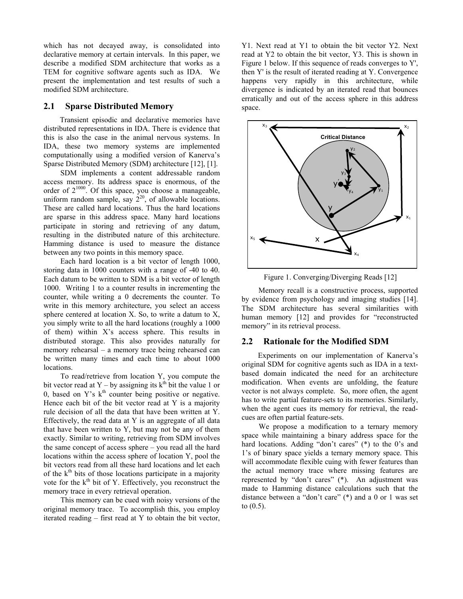which has not decayed away, is consolidated into declarative memory at certain intervals. In this paper, we describe a modified SDM architecture that works as a TEM for cognitive software agents such as IDA. We present the implementation and test results of such a modified SDM architecture.

#### **2.1 Sparse Distributed Memory**

 Transient episodic and declarative memories have distributed representations in IDA. There is evidence that this is also the case in the animal nervous systems. In IDA, these two memory systems are implemented computationally using a modified version of Kanerva's Sparse Distributed Memory (SDM) architecture [12], [1].

SDM implements a content addressable random access memory. Its address space is enormous, of the order of  $2^{1000}$ . Of this space, you choose a manageable, uniform random sample, say  $2^{20}$ , of allowable locations. These are called hard locations. Thus the hard locations are sparse in this address space. Many hard locations participate in storing and retrieving of any datum, resulting in the distributed nature of this architecture. Hamming distance is used to measure the distance between any two points in this memory space.

Each hard location is a bit vector of length 1000, storing data in 1000 counters with a range of -40 to 40. Each datum to be written to SDM is a bit vector of length 1000. Writing 1 to a counter results in incrementing the counter, while writing a 0 decrements the counter. To write in this memory architecture, you select an access sphere centered at location X. So, to write a datum to X, you simply write to all the hard locations (roughly a 1000 of them) within X's access sphere. This results in distributed storage. This also provides naturally for memory rehearsal – a memory trace being rehearsed can be written many times and each time to about 1000 locations.

To read/retrieve from location Y, you compute the bit vector read at Y – by assigning its  $k^{th}$  bit the value 1 or 0, based on Y's  $k<sup>th</sup>$  counter being positive or negative. Hence each bit of the bit vector read at Y is a majority rule decision of all the data that have been written at Y. Effectively, the read data at Y is an aggregate of all data that have been written to Y, but may not be any of them exactly. Similar to writing, retrieving from SDM involves the same concept of access sphere – you read all the hard locations within the access sphere of location Y, pool the bit vectors read from all these hard locations and let each of the  $k<sup>th</sup>$  bits of those locations participate in a majority vote for the  $k<sup>th</sup>$  bit of Y. Effectively, you reconstruct the memory trace in every retrieval operation.

This memory can be cued with noisy versions of the original memory trace. To accomplish this, you employ iterated reading – first read at Y to obtain the bit vector, Y1. Next read at Y1 to obtain the bit vector Y2. Next read at Y2 to obtain the bit vector, Y3. This is shown in Figure 1 below. If this sequence of reads converges to Y', then Y' is the result of iterated reading at Y. Convergence happens very rapidly in this architecture, while divergence is indicated by an iterated read that bounces erratically and out of the access sphere in this address space.



Figure 1. Converging/Diverging Reads [12]

Memory recall is a constructive process, supported by evidence from psychology and imaging studies [14]. The SDM architecture has several similarities with human memory [12] and provides for "reconstructed" memory" in its retrieval process.

#### **2.2 Rationale for the Modified SDM**

 Experiments on our implementation of Kanerva's original SDM for cognitive agents such as IDA in a textbased domain indicated the need for an architecture modification. When events are unfolding, the feature vector is not always complete. So, more often, the agent has to write partial feature-sets to its memories. Similarly, when the agent cues its memory for retrieval, the readcues are often partial feature-sets.

We propose a modification to a ternary memory space while maintaining a binary address space for the hard locations. Adding "don't cares" (\*) to the 0's and 1's of binary space yields a ternary memory space. This will accommodate flexible cuing with fewer features than the actual memory trace where missing features are represented by "don't cares" (\*). An adjustment was made to Hamming distance calculations such that the distance between a "don't care" (\*) and a 0 or 1 was set to (0.5).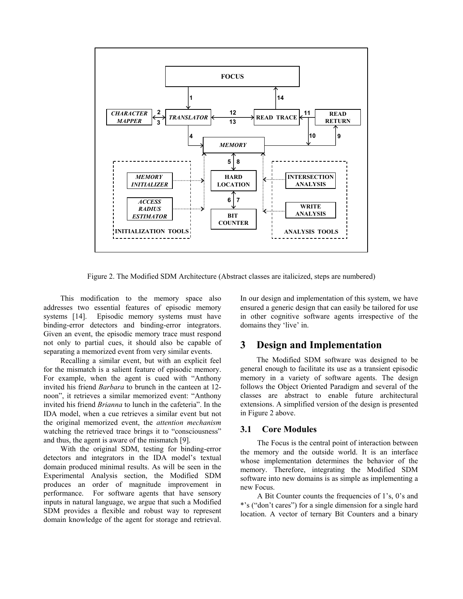

Figure 2. The Modified SDM Architecture (Abstract classes are italicized, steps are numbered)

This modification to the memory space also addresses two essential features of episodic memory systems [14]. Episodic memory systems must have binding-error detectors and binding-error integrators. Given an event, the episodic memory trace must respond not only to partial cues, it should also be capable of separating a memorized event from very similar events.

Recalling a similar event, but with an explicit feel for the mismatch is a salient feature of episodic memory. For example, when the agent is cued with "Anthony invited his friend *Barbara* to brunch in the canteen at 12 noon", it retrieves a similar memorized event: "Anthony invited his friend *Brianna* to lunch in the cafeteria". In the IDA model, when a cue retrieves a similar event but not the original memorized event, the *attention mechanism* watching the retrieved trace brings it to "consciousness" and thus, the agent is aware of the mismatch [9].

With the original SDM, testing for binding-error detectors and integrators in the IDA model's textual domain produced minimal results. As will be seen in the Experimental Analysis section, the Modified SDM produces an order of magnitude improvement in performance. For software agents that have sensory inputs in natural language, we argue that such a Modified SDM provides a flexible and robust way to represent domain knowledge of the agent for storage and retrieval. In our design and implementation of this system, we have ensured a generic design that can easily be tailored for use in other cognitive software agents irrespective of the domains they 'live' in.

### **3 Design and Implementation**

 The Modified SDM software was designed to be general enough to facilitate its use as a transient episodic memory in a variety of software agents. The design follows the Object Oriented Paradigm and several of the classes are abstract to enable future architectural extensions. A simplified version of the design is presented in Figure 2 above.

#### **3.1 Core Modules**

The Focus is the central point of interaction between the memory and the outside world. It is an interface whose implementation determines the behavior of the memory. Therefore, integrating the Modified SDM software into new domains is as simple as implementing a new Focus.

A Bit Counter counts the frequencies of 1's, 0's and \*'s ("don't cares") for a single dimension for a single hard location. A vector of ternary Bit Counters and a binary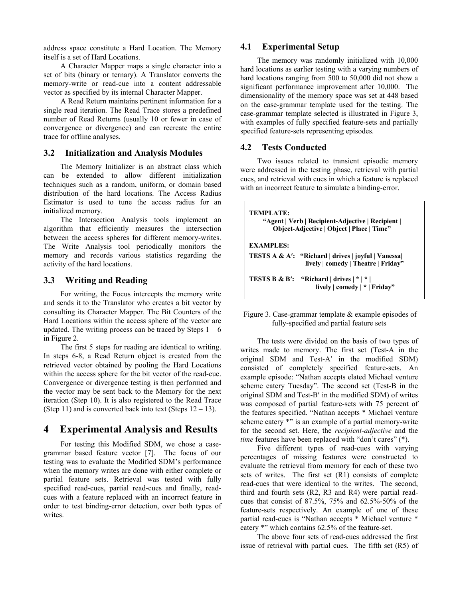address space constitute a Hard Location. The Memory itself is a set of Hard Locations.

A Character Mapper maps a single character into a set of bits (binary or ternary). A Translator converts the memory-write or read-cue into a content addressable vector as specified by its internal Character Mapper.

A Read Return maintains pertinent information for a single read iteration. The Read Trace stores a predefined number of Read Returns (usually 10 or fewer in case of convergence or divergence) and can recreate the entire trace for offline analyses.

#### **3.2 Initialization and Analysis Modules**

The Memory Initializer is an abstract class which can be extended to allow different initialization techniques such as a random, uniform, or domain based distribution of the hard locations. The Access Radius Estimator is used to tune the access radius for an initialized memory.

The Intersection Analysis tools implement an algorithm that efficiently measures the intersection between the access spheres for different memory-writes. The Write Analysis tool periodically monitors the memory and records various statistics regarding the activity of the hard locations.

#### **3.3 Writing and Reading**

For writing, the Focus intercepts the memory write and sends it to the Translator who creates a bit vector by consulting its Character Mapper. The Bit Counters of the Hard Locations within the access sphere of the vector are updated. The writing process can be traced by Steps  $1 - 6$ in Figure 2.

The first 5 steps for reading are identical to writing. In steps 6-8, a Read Return object is created from the retrieved vector obtained by pooling the Hard Locations within the access sphere for the bit vector of the read-cue. Convergence or divergence testing is then performed and the vector may be sent back to the Memory for the next iteration (Step 10). It is also registered to the Read Trace (Step 11) and is converted back into text (Steps  $12 - 13$ ).

### **4 Experimental Analysis and Results**

For testing this Modified SDM, we chose a casegrammar based feature vector [7]. The focus of our testing was to evaluate the Modified SDM's performance when the memory writes are done with either complete or partial feature sets. Retrieval was tested with fully specified read-cues, partial read-cues and finally, readcues with a feature replaced with an incorrect feature in order to test binding-error detection, over both types of writes.

#### **4.1 Experimental Setup**

The memory was randomly initialized with 10,000 hard locations as earlier testing with a varying numbers of hard locations ranging from 500 to 50,000 did not show a significant performance improvement after 10,000. The dimensionality of the memory space was set at 448 based on the case-grammar template used for the testing. The case-grammar template selected is illustrated in Figure 3, with examples of fully specified feature-sets and partially specified feature-sets representing episodes.

#### **4.2 Tests Conducted**

Two issues related to transient episodic memory were addressed in the testing phase, retrieval with partial cues, and retrieval with cues in which a feature is replaced with an incorrect feature to simulate a binding-error.

**TEMPLATE: "Agent | Verb | Recipient-Adjective | Recipient | Object-Adjective | Object | Place | Time" EXAMPLES: TESTS A & A′: "Richard | drives | joyful | Vanessa| lively | comedy | Theatre | Friday" TESTS B & B′: "Richard | drives | \* | \* | lively | comedy | \* | Friday"** 

 Figure 3. Case-grammar template & example episodes of fully-specified and partial feature sets

The tests were divided on the basis of two types of writes made to memory. The first set (Test-A in the original SDM and Test-A′ in the modified SDM) consisted of completely specified feature-sets. An example episode: "Nathan accepts elated Michael venture scheme eatery Tuesday". The second set (Test-B in the original SDM and Test-B′ in the modified SDM) of writes was composed of partial feature-sets with 75 percent of the features specified. "Nathan accepts \* Michael venture scheme eatery \*" is an example of a partial memory-write for the second set. Here, the *recipient-adjective* and the *time* features have been replaced with "don't cares" (\*).

Five different types of read-cues with varying percentages of missing features were constructed to evaluate the retrieval from memory for each of these two sets of writes. The first set (R1) consists of complete read-cues that were identical to the writes. The second, third and fourth sets (R2, R3 and R4) were partial readcues that consist of 87.5%, 75% and 62.5%-50% of the feature-sets respectively. An example of one of these partial read-cues is "Nathan accepts \* Michael venture \* eatery \*" which contains 62.5% of the feature-set.

The above four sets of read-cues addressed the first issue of retrieval with partial cues. The fifth set (R5) of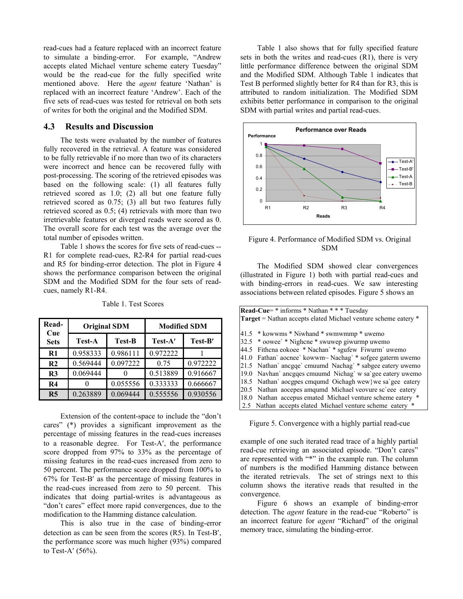read-cues had a feature replaced with an incorrect feature to simulate a binding-error. For example, "Andrew accepts elated Michael venture scheme eatery Tuesday" would be the read-cue for the fully specified write mentioned above. Here the *agent* feature 'Nathan' is replaced with an incorrect feature 'Andrew'. Each of the five sets of read-cues was tested for retrieval on both sets of writes for both the original and the Modified SDM.

#### **4.3 Results and Discussion**

The tests were evaluated by the number of features fully recovered in the retrieval. A feature was considered to be fully retrievable if no more than two of its characters were incorrect and hence can be recovered fully with post-processing. The scoring of the retrieved episodes was based on the following scale: (1) all features fully retrieved scored as 1.0; (2) all but one feature fully retrieved scored as 0.75; (3) all but two features fully retrieved scored as 0.5; (4) retrievals with more than two irretrievable features or diverged reads were scored as 0. The overall score for each test was the average over the total number of episodes written.

Table 1 shows the scores for five sets of read-cues -- R1 for complete read-cues, R2-R4 for partial read-cues and R5 for binding-error detection. The plot in Figure 4 shows the performance comparison between the original SDM and the Modified SDM for the four sets of readcues, namely R1-R4.

| Read-<br>Cue<br><b>Sets</b> | <b>Original SDM</b> |               | <b>Modified SDM</b> |          |
|-----------------------------|---------------------|---------------|---------------------|----------|
|                             | <b>Test-A</b>       | <b>Test-B</b> | Test-A'             | Test-B'  |
| R1                          | 0.958333            | 0.986111      | 0.972222            |          |
| R <sub>2</sub>              | 0.569444            | 0.097222      | 0.75                | 0.972222 |
| R3                          | 0.069444            |               | 0.513889            | 0.916667 |
| R <sub>4</sub>              |                     | 0.055556      | 0.333333            | 0.666667 |
| R <sub>5</sub>              | 0.263889            | 0.069444      | 0.555556            | 0.930556 |

Table 1. Test Scores

Extension of the content-space to include the "don't cares" (\*) provides a significant improvement as the percentage of missing features in the read-cues increases to a reasonable degree. For Test-A′, the performance score dropped from 97% to 33% as the percentage of missing features in the read-cues increased from zero to 50 percent. The performance score dropped from 100% to 67% for Test-B′ as the percentage of missing features in the read-cues increased from zero to 50 percent. This indicates that doing partial-writes is advantageous as "don't cares" effect more rapid convergences, due to the modification to the Hamming distance calculation.

This is also true in the case of binding-error detection as can be seen from the scores (R5). In Test-B′, the performance score was much higher (93%) compared to Test-A′ (56%).

Table 1 also shows that for fully specified feature sets in both the writes and read-cues (R1), there is very little performance difference between the original SDM and the Modified SDM. Although Table 1 indicates that Test B performed slightly better for R4 than for R3, this is attributed to random initialization. The Modified SDM exhibits better performance in comparison to the original SDM with partial writes and partial read-cues.



Figure 4. Performance of Modified SDM vs. Original SDM

The Modified SDM showed clear convergences (illustrated in Figure 1) both with partial read-cues and with binding-errors in read-cues. We saw interesting associations between related episodes. Figure 5 shows an

| Read-Cue= * informs * Nathan * * * Tuesday                     |                                                            |  |
|----------------------------------------------------------------|------------------------------------------------------------|--|
| Target = Nathan accepts elated Michael venture scheme eatery * |                                                            |  |
|                                                                |                                                            |  |
|                                                                | 41.5 * kowwms * Niwhand * swmwmmp * uwemo                  |  |
|                                                                | 32.5 * oowee' * Nighcne * swuwep giwurmp uwemo             |  |
|                                                                | 44.5 Fithcna eokoee * Nachan` * sgufew Fiwurm` uwemo       |  |
|                                                                | 41.0 Fathan' aocnee' kowwm~ Nachag' * sofgee gaterm uwemo  |  |
|                                                                | 21.5 Nathan anogge cmuumd Nachag * sabgee eatery uwemo     |  |
|                                                                | 19.0 Navhan' anonges cmuumd Nichag' w sa'gee eatery uwemo  |  |
|                                                                | 18.5 Nathan' aocgpes cmqumd Oichagh wew we sa'gee eatery   |  |
|                                                                | 20.5 Nathan aocepes amqumd Michael veovure sc'eee eatery   |  |
|                                                                | 18.0 Nathan accepus emated Michael venture scheme eatery * |  |
|                                                                | 2.5 Nathan accepts elated Michael venture scheme eatery *  |  |

Figure 5. Convergence with a highly partial read-cue

example of one such iterated read trace of a highly partial read-cue retrieving an associated episode. "Don't cares" are represented with "\*" in the example run. The column of numbers is the modified Hamming distance between the iterated retrievals. The set of strings next to this column shows the iterative reads that resulted in the convergence.

Figure 6 shows an example of binding-error detection. The *agent* feature in the read-cue "Roberto" is an incorrect feature for *agent* "Richard" of the original memory trace, simulating the binding-error.